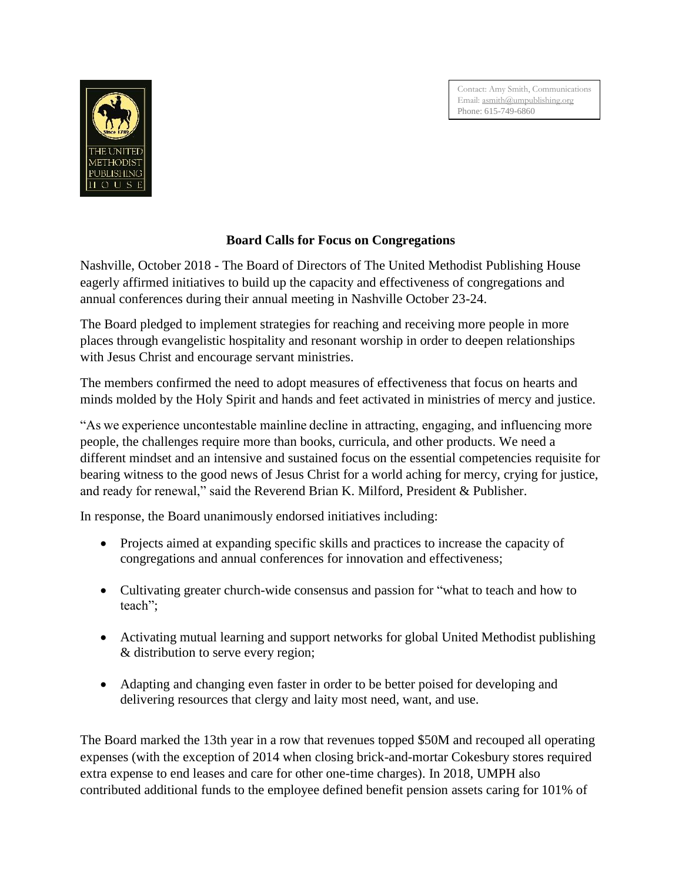Contact: Amy Smith, Communications Email: [asmith@umpublishing.org](mailto:asmith@umpublishing.org) Phone: 615-749-6860



## **Board Calls for Focus on Congregations**

Nashville, October 2018 - The Board of Directors of The United Methodist Publishing House eagerly affirmed initiatives to build up the capacity and effectiveness of congregations and annual conferences during their annual meeting in Nashville October 23-24.

The Board pledged to implement strategies for reaching and receiving more people in more places through evangelistic hospitality and resonant worship in order to deepen relationships with Jesus Christ and encourage servant ministries.

The members confirmed the need to adopt measures of effectiveness that focus on hearts and minds molded by the Holy Spirit and hands and feet activated in ministries of mercy and justice.

"As we experience uncontestable mainline decline in attracting, engaging, and influencing more people, the challenges require more than books, curricula, and other products. We need a different mindset and an intensive and sustained focus on the essential competencies requisite for bearing witness to the good news of Jesus Christ for a world aching for mercy, crying for justice, and ready for renewal," said the Reverend Brian K. Milford, President & Publisher.

In response, the Board unanimously endorsed initiatives including:

- Projects aimed at expanding specific skills and practices to increase the capacity of congregations and annual conferences for innovation and effectiveness;
- Cultivating greater church-wide consensus and passion for "what to teach and how to teach";
- Activating mutual learning and support networks for global United Methodist publishing & distribution to serve every region;
- Adapting and changing even faster in order to be better poised for developing and delivering resources that clergy and laity most need, want, and use.

The Board marked the 13th year in a row that revenues topped \$50M and recouped all operating expenses (with the exception of 2014 when closing brick-and-mortar Cokesbury stores required extra expense to end leases and care for other one-time charges). In 2018, UMPH also contributed additional funds to the employee defined benefit pension assets caring for 101% of